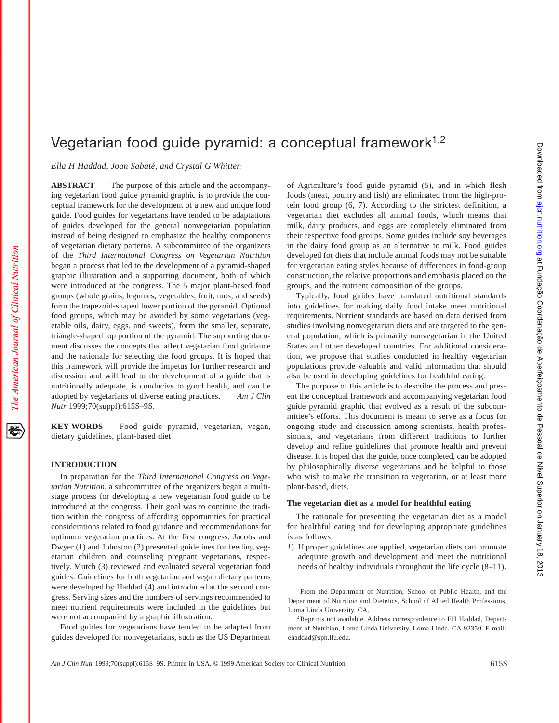# Vegetarian food guide pyramid: a conceptual framework $1,2$

*Ella H Haddad, Joan Sabaté, and Crystal G Whitten*

**ABSTRACT** The purpose of this article and the accompanying vegetarian food guide pyramid graphic is to provide the conceptual framework for the development of a new and unique food guide. Food guides for vegetarians have tended to be adaptations of guides developed for the general nonvegetarian population instead of being designed to emphasize the healthy components of vegetarian dietary patterns. A subcommittee of the organizers of the *Third International Congress on Vegetarian Nutrition* began a process that led to the development of a pyramid-shaped graphic illustration and a supporting document, both of which were introduced at the congress. The 5 major plant-based food groups (whole grains, legumes, vegetables, fruit, nuts, and seeds) form the trapezoid-shaped lower portion of the pyramid. Optional food groups, which may be avoided by some vegetarians (vegetable oils, dairy, eggs, and sweets), form the smaller, separate, triangle-shaped top portion of the pyramid. The supporting document discusses the concepts that affect vegetarian food guidance and the rationale for selecting the food groups. It is hoped that this framework will provide the impetus for further research and discussion and will lead to the development of a guide that is nutritionally adequate, is conducive to good health, and can be adopted by vegetarians of diverse eating practices. *Am J Clin Nutr* 1999;70(suppl):615S–9S.

**KEY WORDS** Food guide pyramid, vegetarian, vegan, dietary guidelines, plant-based diet

## **INTRODUCTION**

In preparation for the *Third International Congress on Vegetarian Nutrition*, a subcommittee of the organizers began a multistage process for developing a new vegetarian food guide to be introduced at the congress. Their goal was to continue the tradition within the congress of affording opportunities for practical considerations related to food guidance and recommendations for optimum vegetarian practices. At the first congress, Jacobs and Dwyer (1) and Johnston (2) presented guidelines for feeding vegetarian children and counseling pregnant vegetarians, respectively. Mutch (3) reviewed and evaluated several vegetarian food guides. Guidelines for both vegetarian and vegan dietary patterns were developed by Haddad (4) and introduced at the second congress. Serving sizes and the numbers of servings recommended to meet nutrient requirements were included in the guidelines but were not accompanied by a graphic illustration.

Food guides for vegetarians have tended to be adapted from guides developed for nonvegetarians, such as the US Department of Agriculture's food guide pyramid (5), and in which flesh foods (meat, poultry and fish) are eliminated from the high-protein food group (6, 7). According to the strictest definition, a vegetarian diet excludes all animal foods, which means that milk, dairy products, and eggs are completely eliminated from their respective food groups. Some guides include soy beverages in the dairy food group as an alternative to milk. Food guides developed for diets that include animal foods may not be suitable for vegetarian eating styles because of differences in food-group construction, the relative proportions and emphasis placed on the groups, and the nutrient composition of the groups.

Typically, food guides have translated nutritional standards into guidelines for making daily food intake meet nutritional requirements. Nutrient standards are based on data derived from studies involving nonvegetarian diets and are targeted to the general population, which is primarily nonvegetarian in the United States and other developed countries. For additional consideration, we propose that studies conducted in healthy vegetarian populations provide valuable and valid information that should also be used in developing guidelines for healthful eating.

The purpose of this article is to describe the process and present the conceptual framework and accompanying vegetarian food guide pyramid graphic that evolved as a result of the subcommittee's efforts. This document is meant to serve as a focus for ongoing study and discussion among scientists, health professionals, and vegetarians from different traditions to further develop and refine guidelines that promote health and prevent disease. It is hoped that the guide, once completed, can be adopted by philosophically diverse vegetarians and be helpful to those who wish to make the transition to vegetarian, or at least more plant-based, diets.

### **The vegetarian diet as a model for healthful eating**

The rationale for presenting the vegetarian diet as a model for healthful eating and for developing appropriate guidelines is as follows.

*1*) If proper guidelines are applied, vegetarian diets can promote adequate growth and development and meet the nutritional needs of healthy individuals throughout the life cycle (8–11).

<sup>1</sup> From the Department of Nutrition, School of Public Health, and the Department of Nutrition and Dietetics, School of Allied Health Professions, Loma Linda University, CA.

<sup>2</sup>Reprints not available. Address correspondence to EH Haddad, Department of Nutrition, Loma Linda University, Loma Linda, CA 92350. E-mail: ehaddad@sph.llu.edu.

*Am J Clin Nutr* 1999;70(suppl):615S–9S. Printed in USA. © 1999 American Society for Clinical Nutrition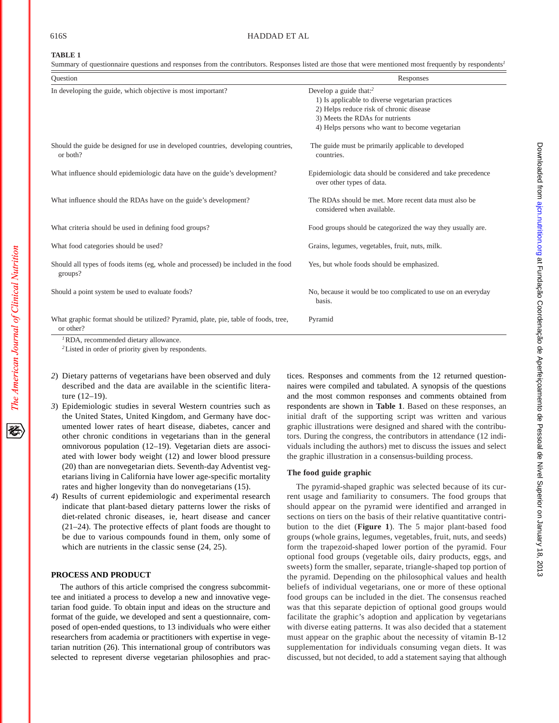The American Journal of Clinical Nutrition

## 616S HADDAD ET AL

### **TABLE 1**

Summary of questionnaire questions and responses from the contributors. Responses listed are those that were mentioned most frequently by respondents*<sup>1</sup>*

| Ouestion                                                                                        | Responses                                                                                                                                                                                                              |
|-------------------------------------------------------------------------------------------------|------------------------------------------------------------------------------------------------------------------------------------------------------------------------------------------------------------------------|
| In developing the guide, which objective is most important?                                     | Develop a guide that: <sup>2</sup><br>1) Is applicable to diverse vegetarian practices<br>2) Helps reduce risk of chronic disease<br>3) Meets the RDAs for nutrients<br>4) Helps persons who want to become vegetarian |
| Should the guide be designed for use in developed countries, developing countries,<br>or both?  | The guide must be primarily applicable to developed<br>countries.                                                                                                                                                      |
| What influence should epidemiologic data have on the guide's development?                       | Epidemiologic data should be considered and take precedence<br>over other types of data.                                                                                                                               |
| What influence should the RDAs have on the guide's development?                                 | The RDAs should be met. More recent data must also be<br>considered when available.                                                                                                                                    |
| What criteria should be used in defining food groups?                                           | Food groups should be categorized the way they usually are.                                                                                                                                                            |
| What food categories should be used?                                                            | Grains, legumes, vegetables, fruit, nuts, milk.                                                                                                                                                                        |
| Should all types of foods items (eg, whole and processed) be included in the food<br>groups?    | Yes, but whole foods should be emphasized.                                                                                                                                                                             |
| Should a point system be used to evaluate foods?                                                | No, because it would be too complicated to use on an everyday<br>basis.                                                                                                                                                |
| What graphic format should be utilized? Pyramid, plate, pie, table of foods, tree,<br>or other? | Pyramid                                                                                                                                                                                                                |
| <sup>1</sup> RDA, recommended dietary allowance.                                                |                                                                                                                                                                                                                        |

*<sup>2</sup>*Listed in order of priority given by respondents.

- *2*) Dietary patterns of vegetarians have been observed and duly described and the data are available in the scientific literature (12–19).
- *3*) Epidemiologic studies in several Western countries such as the United States, United Kingdom, and Germany have documented lower rates of heart disease, diabetes, cancer and other chronic conditions in vegetarians than in the general omnivorous population (12–19). Vegetarian diets are associated with lower body weight (12) and lower blood pressure (20) than are nonvegetarian diets. Seventh-day Adventist vegetarians living in California have lower age-specific mortality rates and higher longevity than do nonvegetarians (15).
- *4*) Results of current epidemiologic and experimental research indicate that plant-based dietary patterns lower the risks of diet-related chronic diseases, ie, heart disease and cancer (21–24). The protective effects of plant foods are thought to be due to various compounds found in them, only some of which are nutrients in the classic sense (24, 25).

# **PROCESS AND PRODUCT**

The authors of this article comprised the congress subcommittee and initiated a process to develop a new and innovative vegetarian food guide. To obtain input and ideas on the structure and format of the guide, we developed and sent a questionnaire, composed of open-ended questions, to 13 individuals who were either researchers from academia or practitioners with expertise in vegetarian nutrition (26). This international group of contributors was selected to represent diverse vegetarian philosophies and practices. Responses and comments from the 12 returned questionnaires were compiled and tabulated. A synopsis of the questions and the most common responses and comments obtained from respondents are shown in **Table 1**. Based on these responses, an initial draft of the supporting script was written and various graphic illustrations were designed and shared with the contributors. During the congress, the contributors in attendance (12 individuals including the authors) met to discuss the issues and select the graphic illustration in a consensus-building process.

## **The food guide graphic**

The pyramid-shaped graphic was selected because of its current usage and familiarity to consumers. The food groups that should appear on the pyramid were identified and arranged in sections on tiers on the basis of their relative quantitative contribution to the diet (**Figure 1**). The 5 major plant-based food groups (whole grains, legumes, vegetables, fruit, nuts, and seeds) form the trapezoid-shaped lower portion of the pyramid. Four optional food groups (vegetable oils, dairy products, eggs, and sweets) form the smaller, separate, triangle-shaped top portion of the pyramid. Depending on the philosophical values and health beliefs of individual vegetarians, one or more of these optional food groups can be included in the diet. The consensus reached was that this separate depiction of optional good groups would facilitate the graphic's adoption and application by vegetarians with diverse eating patterns. It was also decided that a statement must appear on the graphic about the necessity of vitamin B-12 supplementation for individuals consuming vegan diets. It was discussed, but not decided, to add a statement saying that although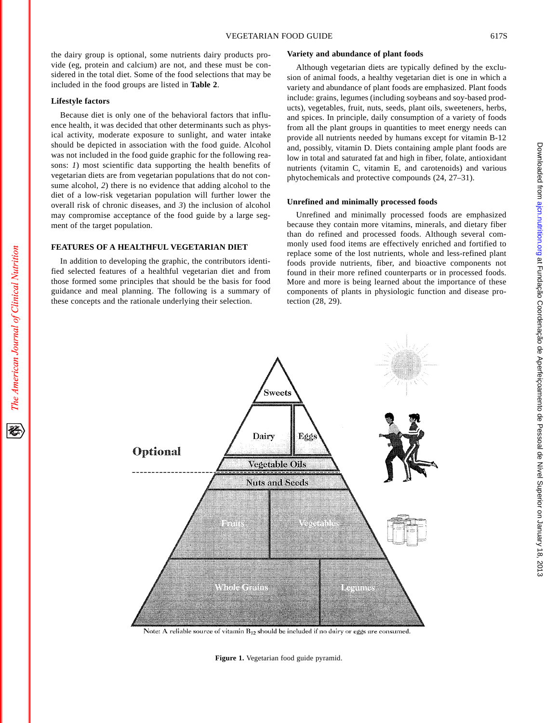the dairy group is optional, some nutrients dairy products provide (eg, protein and calcium) are not, and these must be considered in the total diet. Some of the food selections that may be included in the food groups are listed in **Table 2**.

## **Lifestyle factors**

Because diet is only one of the behavioral factors that influence health, it was decided that other determinants such as physical activity, moderate exposure to sunlight, and water intake should be depicted in association with the food guide. Alcohol was not included in the food guide graphic for the following reasons: *1*) most scientific data supporting the health benefits of vegetarian diets are from vegetarian populations that do not consume alcohol, *2*) there is no evidence that adding alcohol to the diet of a low-risk vegetarian population will further lower the overall risk of chronic diseases, and *3*) the inclusion of alcohol may compromise acceptance of the food guide by a large segment of the target population.

# **FEATURES OF A HEALTHFUL VEGETARIAN DIET**

In addition to developing the graphic, the contributors identified selected features of a healthful vegetarian diet and from those formed some principles that should be the basis for food guidance and meal planning. The following is a summary of these concepts and the rationale underlying their selection.

## **Variety and abundance of plant foods**

Although vegetarian diets are typically defined by the exclusion of animal foods, a healthy vegetarian diet is one in which a variety and abundance of plant foods are emphasized. Plant foods include: grains, legumes (including soybeans and soy-based products), vegetables, fruit, nuts, seeds, plant oils, sweeteners, herbs, and spices. In principle, daily consumption of a variety of foods from all the plant groups in quantities to meet energy needs can provide all nutrients needed by humans except for vitamin B-12 and, possibly, vitamin D. Diets containing ample plant foods are low in total and saturated fat and high in fiber, folate, antioxidant nutrients (vitamin C, vitamin E, and carotenoids) and various phytochemicals and protective compounds (24, 27–31).

# **Unrefined and minimally processed foods**

Unrefined and minimally processed foods are emphasized because they contain more vitamins, minerals, and dietary fiber than do refined and processed foods. Although several commonly used food items are effectively enriched and fortified to replace some of the lost nutrients, whole and less-refined plant foods provide nutrients, fiber, and bioactive components not found in their more refined counterparts or in processed foods. More and more is being learned about the importance of these components of plants in physiologic function and disease protection (28, 29).



Figure 1. Vegetarian food guide pyramid.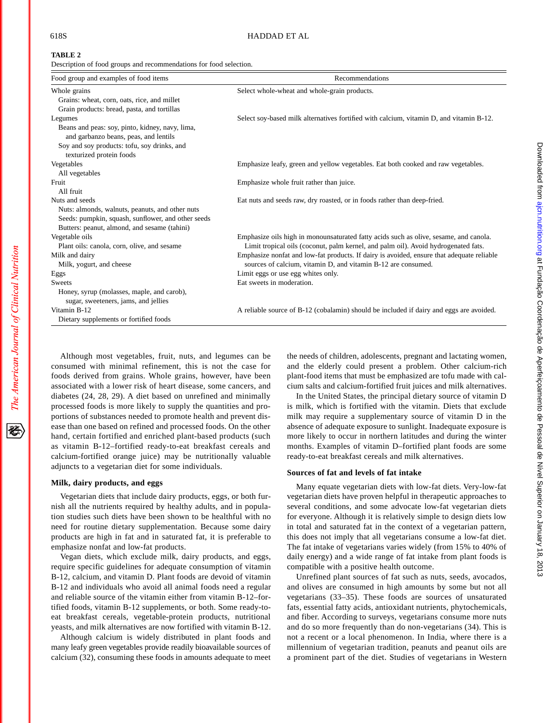The American Journal of Clinical Nutrition

## **TABLE 2**

Description of food groups and recommendations for food selection.

| Food group and examples of food items                                                    | Recommendations                                                                           |
|------------------------------------------------------------------------------------------|-------------------------------------------------------------------------------------------|
| Whole grains                                                                             | Select whole-wheat and whole-grain products.                                              |
| Grains: wheat, corn, oats, rice, and millet                                              |                                                                                           |
| Grain products: bread, pasta, and tortillas                                              |                                                                                           |
| Legumes                                                                                  | Select soy-based milk alternatives fortified with calcium, vitamin D, and vitamin B-12.   |
| Beans and peas: soy, pinto, kidney, navy, lima,<br>and garbanzo beans, peas, and lentils |                                                                                           |
| Soy and soy products: tofu, soy drinks, and                                              |                                                                                           |
| texturized protein foods                                                                 |                                                                                           |
| Vegetables                                                                               | Emphasize leafy, green and yellow vegetables. Eat both cooked and raw vegetables.         |
| All vegetables                                                                           |                                                                                           |
| Fruit                                                                                    | Emphasize whole fruit rather than juice.                                                  |
| All fruit                                                                                |                                                                                           |
| Nuts and seeds                                                                           | Eat nuts and seeds raw, dry roasted, or in foods rather than deep-fried.                  |
| Nuts: almonds, walnuts, peanuts, and other nuts                                          |                                                                                           |
| Seeds: pumpkin, squash, sunflower, and other seeds                                       |                                                                                           |
| Butters: peanut, almond, and sesame (tahini)                                             |                                                                                           |
| Vegetable oils                                                                           | Emphasize oils high in monounsaturated fatty acids such as olive, sesame, and canola.     |
| Plant oils: canola, corn, olive, and sesame                                              | Limit tropical oils (coconut, palm kernel, and palm oil). Avoid hydrogenated fats.        |
| Milk and dairy                                                                           | Emphasize nonfat and low-fat products. If dairy is avoided, ensure that adequate reliable |
| Milk, yogurt, and cheese                                                                 | sources of calcium, vitamin D, and vitamin B-12 are consumed.                             |
| Eggs                                                                                     | Limit eggs or use egg whites only.                                                        |
| Sweets                                                                                   | Eat sweets in moderation.                                                                 |
| Honey, syrup (molasses, maple, and carob),                                               |                                                                                           |
| sugar, sweeteners, jams, and jellies                                                     |                                                                                           |
| Vitamin B-12                                                                             | A reliable source of B-12 (cobalamin) should be included if dairy and eggs are avoided.   |
| Dietary supplements or fortified foods                                                   |                                                                                           |

Although most vegetables, fruit, nuts, and legumes can be consumed with minimal refinement, this is not the case for foods derived from grains. Whole grains, however, have been associated with a lower risk of heart disease, some cancers, and diabetes (24, 28, 29). A diet based on unrefined and minimally processed foods is more likely to supply the quantities and proportions of substances needed to promote health and prevent disease than one based on refined and processed foods. On the other hand, certain fortified and enriched plant-based products (such as vitamin B-12–fortified ready-to-eat breakfast cereals and calcium-fortified orange juice) may be nutritionally valuable adjuncts to a vegetarian diet for some individuals.

#### **Milk, dairy products, and eggs**

Vegetarian diets that include dairy products, eggs, or both furnish all the nutrients required by healthy adults, and in population studies such diets have been shown to be healthful with no need for routine dietary supplementation. Because some dairy products are high in fat and in saturated fat, it is preferable to emphasize nonfat and low-fat products.

Vegan diets, which exclude milk, dairy products, and eggs, require specific guidelines for adequate consumption of vitamin B-12, calcium, and vitamin D. Plant foods are devoid of vitamin B-12 and individuals who avoid all animal foods need a regular and reliable source of the vitamin either from vitamin B-12–fortified foods, vitamin B-12 supplements, or both. Some ready-toeat breakfast cereals, vegetable-protein products, nutritional yeasts, and milk alternatives are now fortified with vitamin B-12.

Although calcium is widely distributed in plant foods and many leafy green vegetables provide readily bioavailable sources of calcium (32), consuming these foods in amounts adequate to meet

the needs of children, adolescents, pregnant and lactating women, and the elderly could present a problem. Other calcium-rich plant-food items that must be emphasized are tofu made with calcium salts and calcium-fortified fruit juices and milk alternatives.

In the United States, the principal dietary source of vitamin D is milk, which is fortified with the vitamin. Diets that exclude milk may require a supplementary source of vitamin D in the absence of adequate exposure to sunlight. Inadequate exposure is more likely to occur in northern latitudes and during the winter months. Examples of vitamin D–fortified plant foods are some ready-to-eat breakfast cereals and milk alternatives.

## **Sources of fat and levels of fat intake**

Many equate vegetarian diets with low-fat diets. Very-low-fat vegetarian diets have proven helpful in therapeutic approaches to several conditions, and some advocate low-fat vegetarian diets for everyone. Although it is relatively simple to design diets low in total and saturated fat in the context of a vegetarian pattern, this does not imply that all vegetarians consume a low-fat diet. The fat intake of vegetarians varies widely (from 15% to 40% of daily energy) and a wide range of fat intake from plant foods is compatible with a positive health outcome.

Unrefined plant sources of fat such as nuts, seeds, avocados, and olives are consumed in high amounts by some but not all vegetarians (33–35). These foods are sources of unsaturated fats, essential fatty acids, antioxidant nutrients, phytochemicals, and fiber. According to surveys, vegetarians consume more nuts and do so more frequently than do non-vegetarians (34). This is not a recent or a local phenomenon. In India, where there is a millennium of vegetarian tradition, peanuts and peanut oils are a prominent part of the diet. Studies of vegetarians in Western